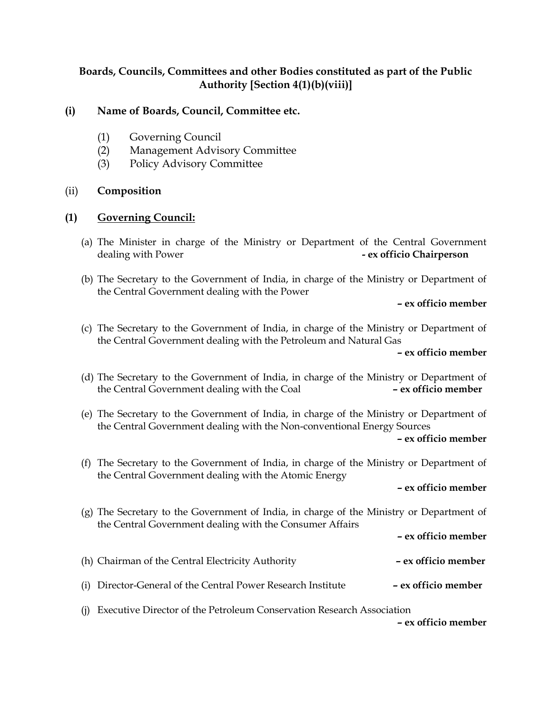# Boards, Councils, Committees and other Bodies constituted as part of the Public Authority [Section 4(1)(b)(viii)]

## (i) Name of Boards, Council, Committee etc.

- (1) Governing Council
- (2) Management Advisory Committee
- (3) Policy Advisory Committee

### (ii) Composition

### (1) Governing Council:

- (a) The Minister in charge of the Ministry or Department of the Central Government dealing with Power **Contract Contract Contract Chairperson**
- (b) The Secretary to the Government of India, in charge of the Ministry or Department of the Central Government dealing with the Power

– ex officio member

(c) The Secretary to the Government of India, in charge of the Ministry or Department of the Central Government dealing with the Petroleum and Natural Gas

– ex officio member

- (d) The Secretary to the Government of India, in charge of the Ministry or Department of the Central Government dealing with the Coal **– ex officio member**
- (e) The Secretary to the Government of India, in charge of the Ministry or Department of the Central Government dealing with the Non-conventional Energy Sources

– ex officio member

(f) The Secretary to the Government of India, in charge of the Ministry or Department of the Central Government dealing with the Atomic Energy

– ex officio member

(g) The Secretary to the Government of India, in charge of the Ministry or Department of the Central Government dealing with the Consumer Affairs

– ex officio member

- (h) Chairman of the Central Electricity Authority ex officio member
- (i) Director-General of the Central Power Research Institute  **ex officio member**
- (j) Executive Director of the Petroleum Conservation Research Association

– ex officio member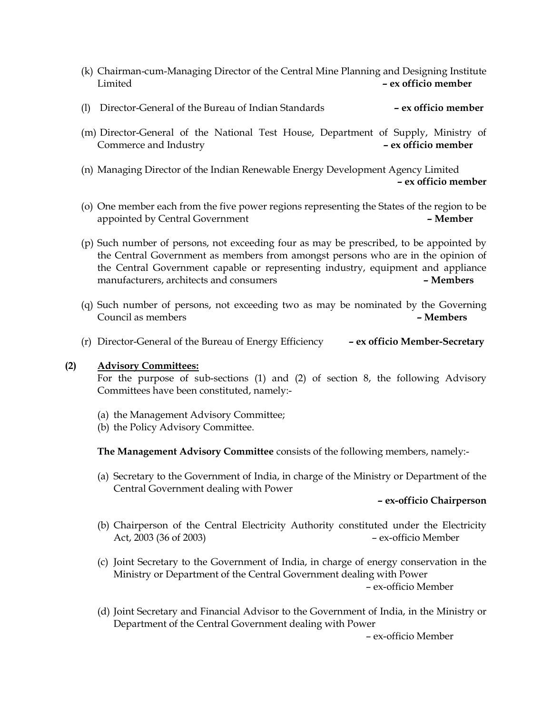- (k) Chairman-cum-Managing Director of the Central Mine Planning and Designing Institute Limited – ex officio member
- (l) Director-General of the Bureau of Indian Standards ex officio member
- (m) Director-General of the National Test House, Department of Supply, Ministry of Commerce and Industry – ex officio member
- (n) Managing Director of the Indian Renewable Energy Development Agency Limited – ex officio member
- (o) One member each from the five power regions representing the States of the region to be appointed by Central Government **Figure 1** and  $\alpha$  **Member Figure 1** and **Figure 1** and **Figure 1** and **Figure 1** and **Figure 1** and **Figure 1** and **Figure 1** and **Figure 1** and **Figure 1** and **Figure 1** and **Figure 1**
- (p) Such number of persons, not exceeding four as may be prescribed, to be appointed by the Central Government as members from amongst persons who are in the opinion of the Central Government capable or representing industry, equipment and appliance manufacturers, architects and consumers – Members
- (q) Such number of persons, not exceeding two as may be nominated by the Governing Council as members – Members
- (r) Director-General of the Bureau of Energy Efficiency ex officio Member-Secretary

#### (2) Advisory Committees:

For the purpose of sub-sections (1) and (2) of section 8, the following Advisory Committees have been constituted, namely:-

- (a) the Management Advisory Committee;
- (b) the Policy Advisory Committee.

The Management Advisory Committee consists of the following members, namely:-

(a) Secretary to the Government of India, in charge of the Ministry or Department of the Central Government dealing with Power

#### – ex-officio Chairperson

- (b) Chairperson of the Central Electricity Authority constituted under the Electricity Act, 2003 (36 of 2003) – ex-officio Member
- (c) Joint Secretary to the Government of India, in charge of energy conservation in the Ministry or Department of the Central Government dealing with Power – ex-officio Member
- (d) Joint Secretary and Financial Advisor to the Government of India, in the Ministry or Department of the Central Government dealing with Power

– ex-officio Member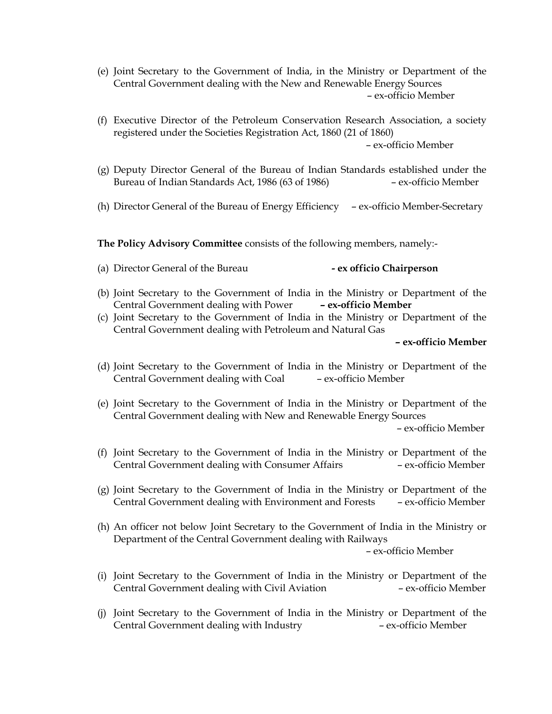- (e) Joint Secretary to the Government of India, in the Ministry or Department of the Central Government dealing with the New and Renewable Energy Sources – ex-officio Member
- (f) Executive Director of the Petroleum Conservation Research Association, a society registered under the Societies Registration Act, 1860 (21 of 1860)

– ex-officio Member

- (g) Deputy Director General of the Bureau of Indian Standards established under the Bureau of Indian Standards Act, 1986 (63 of 1986) – ex-officio Member
- (h) Director General of the Bureau of Energy Efficiency ex-officio Member-Secretary

The Policy Advisory Committee consists of the following members, namely:-

- (a) Director General of the Bureau  **ex officio Chairperson**
- (b) Joint Secretary to the Government of India in the Ministry or Department of the Central Government dealing with Power – ex-officio Member
- (c) Joint Secretary to the Government of India in the Ministry or Department of the Central Government dealing with Petroleum and Natural Gas

#### – ex-officio Member

- (d) Joint Secretary to the Government of India in the Ministry or Department of the Central Government dealing with Coal – ex-officio Member
- (e) Joint Secretary to the Government of India in the Ministry or Department of the Central Government dealing with New and Renewable Energy Sources

– ex-officio Member

- (f) Joint Secretary to the Government of India in the Ministry or Department of the Central Government dealing with Consumer Affairs – ex-officio Member
- (g) Joint Secretary to the Government of India in the Ministry or Department of the Central Government dealing with Environment and Forests – ex-officio Member
- (h) An officer not below Joint Secretary to the Government of India in the Ministry or Department of the Central Government dealing with Railways

– ex-officio Member

- (i) Joint Secretary to the Government of India in the Ministry or Department of the Central Government dealing with Civil Aviation – ex-officio Member
- (j) Joint Secretary to the Government of India in the Ministry or Department of the Central Government dealing with Industry – ex-officio Member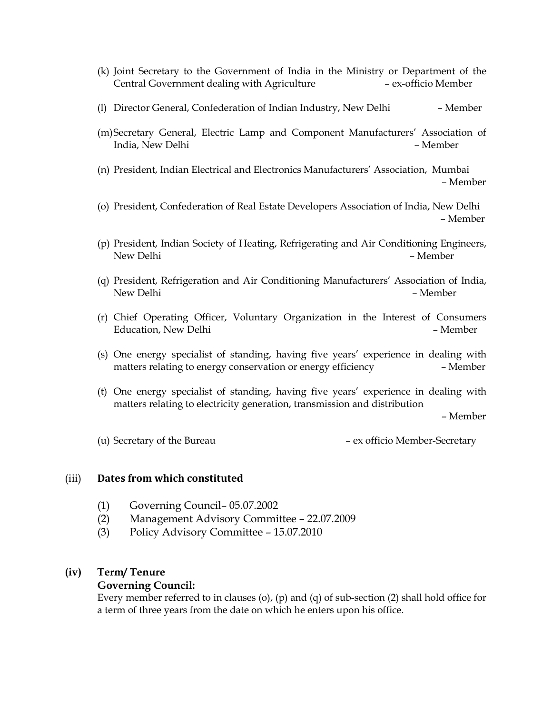- (k) Joint Secretary to the Government of India in the Ministry or Department of the Central Government dealing with Agriculture – ex-officio Member
- (l) Director General, Confederation of Indian Industry, New Delhi Member
- (m)Secretary General, Electric Lamp and Component Manufacturers' Association of India, New Delhi – Member
- (n) President, Indian Electrical and Electronics Manufacturers' Association, Mumbai – Member
- (o) President, Confederation of Real Estate Developers Association of India, New Delhi – Member
- (p) President, Indian Society of Heating, Refrigerating and Air Conditioning Engineers, New Delhi – Member
- (q) President, Refrigeration and Air Conditioning Manufacturers' Association of India, New Delhi – Member
- (r) Chief Operating Officer, Voluntary Organization in the Interest of Consumers Education, New Delhi – Member
- (s) One energy specialist of standing, having five years' experience in dealing with matters relating to energy conservation or energy efficiency – Member
- (t) One energy specialist of standing, having five years' experience in dealing with matters relating to electricity generation, transmission and distribution

– Member

(u) Secretary of the Bureau – ex officio Member-Secretary

#### (iii) Dates from which constituted

- (1) Governing Council– 05.07.2002
- (2) Management Advisory Committee 22.07.2009
- (3) Policy Advisory Committee 15.07.2010

#### (iv) Term/ Tenure

### Governing Council:

Every member referred to in clauses (o), (p) and (q) of sub-section (2) shall hold office for a term of three years from the date on which he enters upon his office.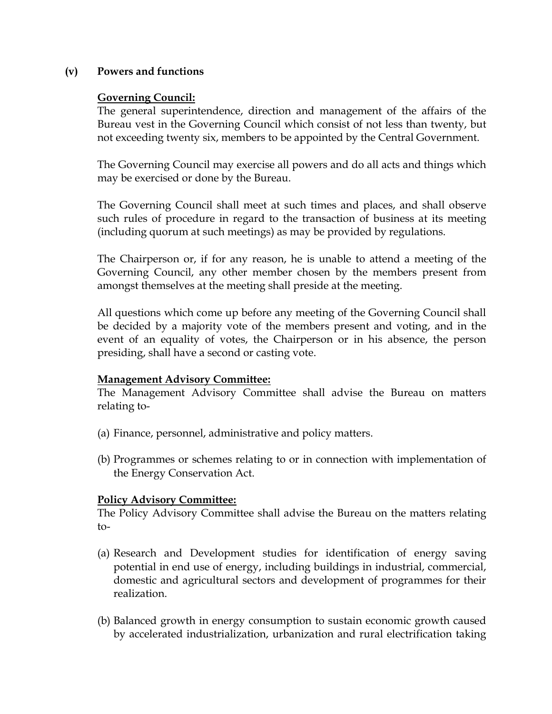### (v) Powers and functions

### Governing Council:

The general superintendence, direction and management of the affairs of the Bureau vest in the Governing Council which consist of not less than twenty, but not exceeding twenty six, members to be appointed by the Central Government.

The Governing Council may exercise all powers and do all acts and things which may be exercised or done by the Bureau.

The Governing Council shall meet at such times and places, and shall observe such rules of procedure in regard to the transaction of business at its meeting (including quorum at such meetings) as may be provided by regulations.

The Chairperson or, if for any reason, he is unable to attend a meeting of the Governing Council, any other member chosen by the members present from amongst themselves at the meeting shall preside at the meeting.

All questions which come up before any meeting of the Governing Council shall be decided by a majority vote of the members present and voting, and in the event of an equality of votes, the Chairperson or in his absence, the person presiding, shall have a second or casting vote.

# Management Advisory Committee:

The Management Advisory Committee shall advise the Bureau on matters relating to-

- (a) Finance, personnel, administrative and policy matters.
- (b) Programmes or schemes relating to or in connection with implementation of the Energy Conservation Act.

# Policy Advisory Committee:

The Policy Advisory Committee shall advise the Bureau on the matters relating to-

- (a) Research and Development studies for identification of energy saving potential in end use of energy, including buildings in industrial, commercial, domestic and agricultural sectors and development of programmes for their realization.
- (b) Balanced growth in energy consumption to sustain economic growth caused by accelerated industrialization, urbanization and rural electrification taking